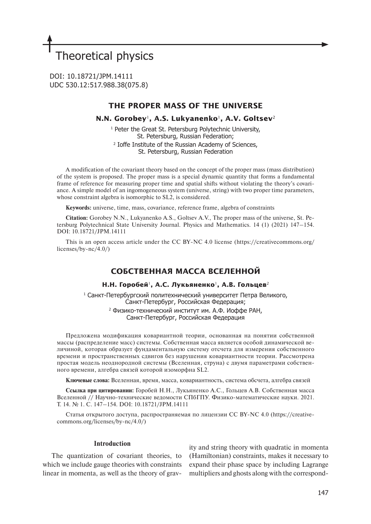# Theoretical physics

DOI: 10.18721/JPM.14111 UDC 530.12:517.988.38(075.8)

# **THE PROPER MASS OF THE UNIVERSE**

# **N.N. Gorobey**1**, A.S. Lukyanenko**1**, A.V. Goltsev**<sup>2</sup>

1 Peter the Great St. Petersburg Polytechnic University, St. Petersburg, Russian Federation; 2 Ioffe Institute of the Russian Academy of Sciences, St. Petersburg, Russian Federation

A modification of the covariant theory based on the concept of the proper mass (mass distribution) of the system is proposed. The proper mass is a special dynamic quantity that forms a fundamental frame of reference for measuring proper time and spatial shifts without violating the theory's covariance. A simple model of an ingomogeneous system (universe, string) with two proper time parameters, whose constraint algebra is isomorphic to SL2, is considered.

**Keywords:** universe, time, mass, covariance, reference frame, algebra of constraints

**Citation:** Gorobey N.N., Lukyanenko A.S., Goltsev A.V., The proper mass of the universe, St. Petersburg Polytechnical State University Journal. Physics and Mathematics. 14 (1) (2021) 147–154. DOI: 10.18721/JPM.14111

This is an open access article under the CC BY-NC 4.0 license (https://creativecommons.org/ licenses/by-nc/4.0/)

# **СОБСТВЕННАЯ МАССА ВСЕЛЕННОЙ**

# **Н.Н. Горобей**1**, А.С. Лукьяненко**1**, А.В. Гольцев**<sup>2</sup>

1 Санкт-Петербургский политехнический университет Петра Великого, Санкт-Петербург, Российская Федерация; 2 Физико-технический институт им. А.Ф. Иоффе РАН,

Санкт-Петербург, Российская Федерация

Предложена модификация ковариантной теории, основанная на понятии собственной массы (распределение масс) системы. Собственная масса является особой динамической величиной, которая образует фундаментальную систему отсчета для измерения собственного времени и пространственных сдвигов без нарушения ковариантности теории. Рассмотрена простая модель неоднородной системы (Вселенная, струна) с двумя параметрами собственного времени, алгебра связей которой изоморфна SL2.

**Ключевые слова:** Вселенная, время, масса, ковариантность, система обсчета, алгебра связей

**Ссылка при цитировании:** Горобей Н.Н., Лукьяненко А.С., Гольцев А.В. Собственная масса Вселенной // Научно-технические ведомости СПбГПУ. Физико-математические науки. 2021. Т. 14. № 1. С. 147–154. DOI: 10.18721/JPM.14111

Статья открытого доступа, распространяемая по лицензии CC BY-NC 4.0 (https://creativecommons.org/licenses/by-nc/4.0/)

#### **Introduction**

The quantization of covariant theories, to which we include gauge theories with constraints linear in momenta, as well as the theory of grav-

ity and string theory with quadratic in momenta (Hamiltonian) constraints, makes it necessary to expand their phase space by including Lagrange multipliers and ghosts along with the correspond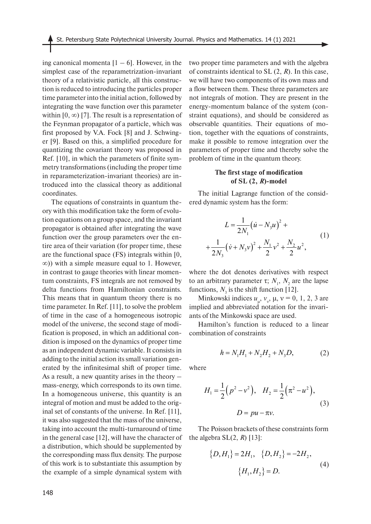ing canonical momenta  $[1 - 6]$ . However, in the simplest case of the reparametrization-invariant theory of a relativistic particle, all this construction is reduced to introducing the particles proper time parameter into the initial action, followed by integrating the wave function over this parameter within  $[0, \infty)$  [7]. The result is a representation of the Feynman propagator of a particle, which was first proposed by V.A. Fock [8] and J. Schwinger [9]. Based on this, a simplified procedure for quantizing the covariant theory was proposed in Ref. [10], in which the parameters of finite symmetry transformations (including the proper time in reparameterization-invariant theories) are introduced into the classical theory as additional coordinates.

The equations of constraints in quantum theory with this modification take the form of evolution equations on a group space, and the invariant propagator is obtained after integrating the wave function over the group parameters over the entire area of their variation (for proper time, these are the functional space (FS) integrals within [0, ∞)) with a simple measure equal to 1. However, in contrast to gauge theories with linear momentum constraints, FS integrals are not removed by delta functions from Hamiltonian constraints. This means that in quantum theory there is no time parameter. In Ref. [11], to solve the problem of time in the case of a homogeneous isotropic model of the universe, the second stage of modification is proposed, in which an additional condition is imposed on the dynamics of proper time as an independent dynamic variable. It consists in adding to the initial action its small variation generated by the infinitesimal shift of proper time. As a result, a new quantity arises in the theory – mass-energy, which corresponds to its own time. In a homogeneous universe, this quantity is an integral of motion and must be added to the original set of constants of the universe. In Ref. [11], it was also suggested that the mass of the universe, taking into account the multi-turnaround of time in the general case [12], will have the character of a distribution, which should be supplemented by the corresponding mass flux density. The purpose of this work is to substantiate this assumption by the example of a simple dynamical system with

two proper time parameters and with the algebra of constraints identical to SL (2, *R*). In this case, we will have two components of its own mass and a flow between them. These three parameters are not integrals of motion. They are present in the energy-momentum balance of the system (constraint equations), and should be considered as observable quantities. Their equations of motion, together with the equations of constraints, make it possible to remove integration over the parameters of proper time and thereby solve the problem of time in the quantum theory.

# **The first stage of modification of SL (2,** *R***)-model**

The initial Lagrange function of the considered dynamic system has the form:

$$
L = \frac{1}{2N_1} (\dot{u} - N_3 u)^2 +
$$
  
+ 
$$
\frac{1}{2N_3} (\dot{v} + N_3 v)^2 + \frac{N_1}{2} v^2 + \frac{N_2}{2} u^2,
$$
 (1)

where the dot denotes derivatives with respect to an arbitrary parameter  $\tau$ ;  $N_1$ ,  $N_2$  are the lapse functions,  $N_3$  is the shift function [12].

Minkowski indices  $u_{\mu}$ ,  $v_{\nu}$ ,  $\mu$ ,  $v = 0, 1, 2, 3$  are implied and abbreviated notation for the invariants of the Minkowski space are used.

Hamilton's function is reduced to a linear combination of constraints

$$
h = N_1 H_1 + N_2 H_2 + N_3 D, \tag{2}
$$

where

$$
H_1 = \frac{1}{2} (p^2 - v^2), \quad H_2 = \frac{1}{2} (\pi^2 - u^2),
$$
  

$$
D = pu - \pi v.
$$
 (3)

The Poisson brackets of these constraints form the algebra  $SL(2, R)$  [13]:

$$
\{D, H_1\} = 2H_1, \quad \{D, H_2\} = -2H_2,
$$
  

$$
\{H_1, H_2\} = D.
$$
 (4)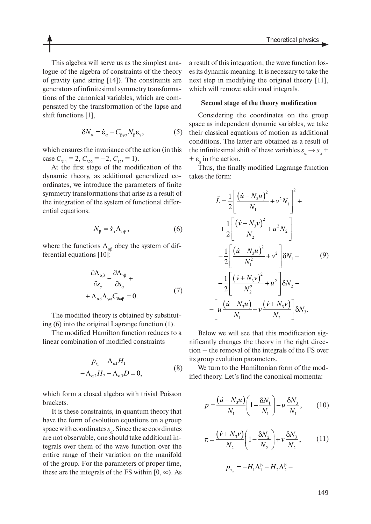This algebra will serve us as the simplest analogue of the algebra of constraints of the theory of gravity (and string [14]). The constraints are generators of infinitesimal symmetry transformations of the canonical variables, which are compensated by the transformation of the lapse and shift functions [1],

$$
\delta N_{\alpha} = \dot{\varepsilon}_{\alpha} - C_{\beta\gamma\alpha} N_{\beta} \varepsilon_{\gamma}, \tag{5}
$$

which ensures the invariance of the action (in this case  $C_{311} = 2$ ,  $C_{322} = -2$ ,  $C_{123} = 1$ ).

At the first stage of the modification of the dynamic theory, as additional generalized coordinates, we introduce the parameters of finite symmetry transformations that arise as a result of the integration of the system of functional differential equations:

$$
N_{\beta} = \dot{s}_{\alpha} \Lambda_{\alpha\beta},\tag{6}
$$

where the functions  $\Lambda_{\alpha\beta}$  obey the system of differential equations [10]:

$$
\frac{\partial \Lambda_{\alpha\beta}}{\partial s_{\gamma}} - \frac{\partial \Lambda_{\gamma\beta}}{\partial s_{\alpha}} +
$$
  
+  $\Lambda_{\alpha\delta} \Lambda_{\gamma\alpha} C_{\delta\alpha\beta} = 0.$  (7)

The modified theory is obtained by substituting (6) into the original Lagrange function (1).

The modified Hamilton function reduces to a linear combination of modified constraints

$$
p_{s_{\alpha}} - \Lambda_{\alpha 1} H_1 -
$$
  

$$
-\Lambda_{\alpha 2} H_2 - \Lambda_{\alpha 3} D = 0,
$$
 (8)

which form a closed algebra with trivial Poisson brackets.

It is these constraints, in quantum theory that have the form of evolution equations on a group space with coordinates  $s_a$ . Since these coordinates are not observable, one should take additional integrals over them of the wave function over the entire range of their variation on the manifold of the group. For the parameters of proper time, these are the integrals of the FS within  $[0, \infty)$ . As

a result of this integration, the wave function loses its dynamic meaning. It is necessary to take the next step in modifying the original theory [11], which will remove additional integrals.

# **Second stage of the theory modification**

Considering the coordinates on the group space as independent dynamic variables, we take their classical equations of motion as additional conditions. The latter are obtained as a result of the infinitesimal shift of these variables  $s_{\alpha} \rightarrow s_{\alpha}$  + +  $\varepsilon_{\alpha}$  in the action.

Thus, the finally modified Lagrange function takes the form:

$$
\tilde{L} = \frac{1}{2} \left[ \frac{(\dot{u} - N_3 u)^2}{N_1} + v^2 N_1 \right]^2 +
$$
  
+ 
$$
\frac{1}{2} \left[ \frac{(\dot{v} + N_3 v)^2}{N_2} + u^2 N_2 \right] -
$$
  
- 
$$
\frac{1}{2} \left[ \frac{(\dot{u} - N_3 u)^2}{N_1^2} + v^2 \right] \delta N_1 -
$$
  
- 
$$
\frac{1}{2} \left[ \frac{(\dot{v} + N_3 v)^2}{N_2^2} + u^2 \right] \delta N_2 -
$$
  
- 
$$
\left[ u \frac{(\dot{u} - N_3 u)}{N_1} - v \frac{(\dot{v} + N_3 v)}{N_2} \right] \delta N_3.
$$
 (9)

Below we will see that this modification significantly changes the theory in the right direction – the removal of the integrals of the FS over its group evolution parameters.

We turn to the Hamiltonian form of the modified theory. Let's find the canonical momenta:

$$
p = \frac{(u - N_3 u)}{N_1} \left( 1 - \frac{\delta N_1}{N_1} \right) - u \frac{\delta N_3}{N_1}, \quad (10)
$$

$$
\pi = \frac{(\dot{v} + N_3 v)}{N_2} \left( 1 - \frac{\delta N_2}{N_2} \right) + v \frac{\delta N_3}{N_2},
$$
(11)  

$$
p_{s_{\alpha}} = -H_1 \Lambda_1^{\beta} - H_2 \Lambda_2^{\beta} -
$$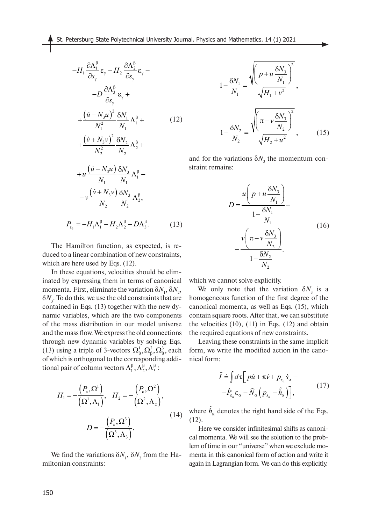$$
-H_{1} \frac{\partial \Lambda_{1}^{\beta}}{\partial s_{\gamma}} \varepsilon_{\gamma} - H_{2} \frac{\partial \Lambda_{2}^{\beta}}{\partial s_{\gamma}} \varepsilon_{\gamma} - D \frac{\partial \Lambda_{3}^{\beta}}{\partial s_{\gamma}} \varepsilon_{\gamma} +
$$
  
\n
$$
-D \frac{\partial \Lambda_{3}^{\beta}}{\partial s_{\gamma}} \varepsilon_{\gamma} +
$$
  
\n
$$
+ \frac{(u - N_{3}u)^{2}}{N_{1}^{2}} \frac{\delta N_{1}}{N_{1}} \Lambda_{1}^{\beta} +
$$
  
\n
$$
+ \frac{(v + N_{3}v)^{2}}{N_{2}^{2}} \frac{\delta N_{2}}{N_{2}} \Lambda_{2}^{\beta} +
$$
  
\n
$$
+ u \frac{(u - N_{3}u)}{N_{1}} \frac{\delta N_{3}}{N_{1}} \Lambda_{1}^{\beta} -
$$
  
\n
$$
-v \frac{(v + N_{3}v)}{N_{2}} \frac{\delta N_{3}}{N_{2}} \Lambda_{2}^{\beta},
$$
  
\n
$$
P_{\varepsilon_{\beta}} = -H_{1} \Lambda_{1}^{\beta} - H_{2} \Lambda_{2}^{\beta} - D \Lambda_{3}^{\beta}.
$$
 (13)

The Hamilton function, as expected, is reduced to a linear combination of new constraints, which are here used by Eqs. (12).

In these equations, velocities should be eliminated by expressing them in terms of canonical momenta. First, eliminate the variation  $\delta N_1$ ,  $\delta N_2$ , δ*N*<sup>3</sup> . To do this, we use the old constraints that are contained in Eqs. (13) together with the new dynamic variables, which are the two components of the mass distribution in our model universe and the mass flow. We express the old connections through new dynamic variables by solving Eqs. (13) using a triple of 3-vectors  $\Omega^1_\beta, \Omega^2_\beta, \Omega^3_\beta$ , each of which is orthogonal to the corresponding additional pair of column vectors  $\Lambda_1^{\beta}, \Lambda_2^{\beta}, \Lambda_3^{\beta}$ :

$$
H_1 = -\frac{\left(P_\varepsilon, \Omega^1\right)}{\left(\Omega^1, \Lambda_1\right)}, \quad H_2 = -\frac{\left(P_\varepsilon, \Omega^2\right)}{\left(\Omega^2, \Lambda_2\right)},
$$

$$
D = -\frac{\left(P_\varepsilon, \Omega^3\right)}{\left(\Omega^3, \Lambda_3\right)}.
$$
(14)

We find the variations  $\delta N_1$ ,  $\delta N_2$  from the Hamiltonian constraints:

$$
1 - \frac{\delta N_1}{N_1} = \frac{\sqrt{\left(p + u \frac{\delta N_3}{N_1}\right)^2}}{\sqrt{H_1 + v^2}},
$$
  

$$
1 - \frac{\delta N_2}{N_2} = \frac{\sqrt{\left(\pi - v \frac{\delta N_3}{N_2}\right)^2}}{\sqrt{H_2 + u^2}},
$$
(15)

and for the variations  $\delta N<sub>3</sub>$  the momentum constraint remains:

$$
D = \frac{u\left(p + u\frac{\delta N_3}{N_1}\right)}{1 - \frac{\delta N_1}{N_1}} -
$$
  

$$
- \frac{v\left(\pi - v\frac{\delta N_3}{N_2}\right)}{1 - \frac{\delta N_2}{N_2}}.
$$
 (16)

which we cannot solve explicitly.

We only note that the variation  $\delta N_3$  is a homogeneous function of the first degree of the canonical momenta, as well as Eqs. (15), which contain square roots. After that, we can substitute the velocities  $(10)$ ,  $(11)$  in Eqs.  $(12)$  and obtain the required equations of new constraints.

Leaving these constraints in the same implicit form, we write the modified action in the canonical form:

$$
\tilde{I} = \int d\tau \Big[ p\dot{u} + \pi \dot{v} + p_{s_\alpha} \dot{s}_\alpha -
$$
  
\n
$$
- \dot{P}_{s_\alpha} \varepsilon_\alpha - \tilde{N}_\alpha \Big( p_{s_\alpha} - \tilde{h}_\alpha \Big) \Big],
$$
\n(17)

where  $\tilde{h}_{\alpha}$  denotes the right hand side of the Eqs. (12).

Here we consider infinitesimal shifts as canonical momenta. We will see the solution to the problem of time in our "universe" when we exclude momenta in this canonical form of action and write it again in Lagrangian form. We can do this explicitly.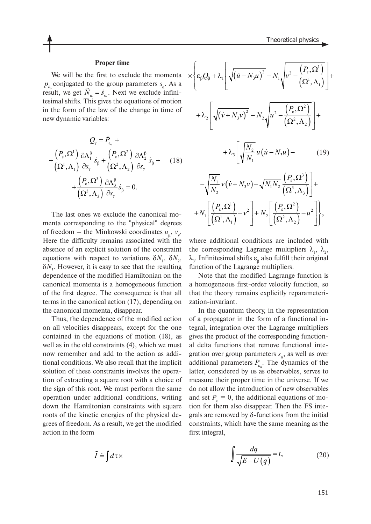# **Proper time**

We will be the first to exclude the momenta  $\times$  $p_{s_\alpha}$  conjugated to the group parameters  $s_\alpha$ . As a result, we get  $\tilde{N}_{\alpha} = \dot{s}_{\alpha}$ . Next we exclude infinitesimal shifts. This gives the equations of motion in the form of the law of the change in time of new dynamic variables:

$$
Q_{\gamma} = \dot{P}_{\varepsilon_{\alpha}} +
$$

$$
+ \frac{\left(P_{\varepsilon}, \Omega^{1}\right) \partial \Lambda_{1}^{\beta}}{\left(\Omega^{1}, \Lambda_{1}\right) \partial s_{\gamma}} \dot{s}_{\beta} + \frac{\left(P_{\varepsilon}, \Omega^{2}\right) \partial \Lambda_{2}^{\beta}}{\left(\Omega^{2}, \Lambda_{2}\right) \partial s_{\gamma}} \dot{s}_{\beta} +
$$

$$
+ \frac{\left(P_{\varepsilon}, \Omega^{3}\right) \partial \Lambda_{3}^{\beta}}{\left(\Omega^{3}, \Lambda_{3}\right) \partial s_{\gamma}} \dot{s}_{\beta} = 0.
$$
 (18)

The last ones we exclude the canonical momenta corresponding to the "physical" degrees of freedom – the Minkowski coordinates  $u_{\mu}$ ,  $v_{\nu}$ . Here the difficulty remains associated with the absence of an explicit solution of the constraint equations with respect to variations  $\delta N_1$ ,  $\delta N_2$ ,  $\delta N<sub>3</sub>$ . However, it is easy to see that the resulting dependence of the modified Hamiltonian on the canonical momenta is a homogeneous function of the first degree. The consequence is that all terms in the canonical action (17), depending on the canonical momenta, disappear.

Thus, the dependence of the modified action on all velocities disappears, except for the one contained in the equations of motion (18), as well as in the old constraints (4), which we must now remember and add to the action as additional conditions. We also recall that the implicit solution of these constraints involves the operation of extracting a square root with a choice of the sign of this root. We must perform the same operation under additional conditions, writing down the Hamiltonian constraints with square roots of the kinetic energies of the physical degrees of freedom. As a result, we get the modified action in the form

$$
\tilde{I} \doteq \int d\tau \times
$$

$$
\times \left\{ \varepsilon_{\beta} Q_{\beta} + \lambda_{1} \left[ \sqrt{\left( \dot{u} - N_{3} u \right)^{2}} - N_{1} \sqrt{\nu^{2} - \frac{\left( P_{\varepsilon}, \Omega^{1} \right)}{\left( \Omega^{1}, \Lambda_{1} \right)}} \right] + \lambda_{2} \left[ \sqrt{\left( \dot{v} + N_{3} v \right)^{2}} - N_{2} \sqrt{\nu^{2} - \frac{\left( P_{\varepsilon}, \Omega^{2} \right)}{\left( \Omega^{2}, \Lambda_{2} \right)}} \right] + \lambda_{3} \left[ \sqrt{\frac{N_{2}}{N_{1}}} u \left( \dot{u} - N_{3} u \right) - \sqrt{\frac{N_{1}}{N_{2}}} v \left( \dot{v} + N_{3} v \right) - \sqrt{N_{1} N_{2}} \frac{\left( P_{\varepsilon}, \Omega^{3} \right)}{\left( \Omega^{3}, \Lambda_{3} \right)} \right] + \lambda_{4} \left[ \sqrt{\frac{N_{2}}{N_{2}}} v \left( \dot{v} + N_{3} v \right) - \sqrt{N_{1} N_{2}} \frac{\left( P_{\varepsilon}, \Omega^{3} \right)}{\left( \Omega^{3}, \Lambda_{3} \right)} \right] + \lambda_{5} \left[ \sqrt{\frac{N_{2}}{N_{2}}} v \left( \dot{v} + N_{3} v \right) - \sqrt{\frac{N_{1} N_{2}}{\Omega^{3}}} \left( \frac{P_{\varepsilon}, \Omega^{3} \right)}{\left( \Omega^{3}, \Lambda_{3} \right)} \right] + \lambda_{6} \left[ \sqrt{\frac{N_{1}}{N_{2}}} v \left( \dot{v} + N_{3} v \right) - \sqrt{\frac{N_{1} N_{2}}{\Omega^{3}}} \left( \frac{P_{\varepsilon}, \Omega^{3} \right)}{\left( \Omega^{3}, \Lambda_{3} \right)} \right] + \lambda_{7} \left[ \sqrt{\frac{N_{1}}{N_{2}}} v \left( \dot{v} + N_{3} v \right) - \sqrt{\frac{N_{1} N_{2}}{\Omega^{3}}} \left( \frac{P_{\varepsilon}, \Omega^{3} \right)}{\left( \Omega^{3}, \Lambda_{3} \right)} \right] + \lambda_{8} \left[ \sqrt{\frac{N_{2}}{N_{2}}} v \left( \dot{v} + N_{3} v \right) - \sqrt{\frac{N_{1} N_{2}}{\Omega^{
$$

$$
+N_1\left[\frac{\left(P_{\varepsilon},\Omega^1\right)}{\left(\Omega^1,\Lambda_1\right)}-v^2\right]+N_2\left[\frac{\left(P_{\varepsilon},\Omega^2\right)}{\left(\Omega^2,\Lambda_2\right)}-u^2\right]\right],
$$

where additional conditions are included with the corresponding Lagrange multipliers  $\lambda_1$ ,  $\lambda_2$ ,  $\lambda_3$ . Infinitesimal shifts  $\varepsilon_\beta$  also fulfill their original function of the Lagrange multipliers.

Note that the modified Lagrange function is a homogeneous first-order velocity function, so that the theory remains explicitly reparameterization-invariant.

In the quantum theory, in the representation of a propagator in the form of a functional integral, integration over the Lagrange multipliers gives the product of the corresponding functional delta functions that remove functional integration over group parameters  $s_{\alpha}$ , as well as over additional parameters  $P_{\varepsilon_{\alpha}}$ . The dynamics of the latter, considered by us as observables, serves to measure their proper time in the universe. If we do not allow the introduction of new observables and set  $P_{\epsilon} = 0$ , the additional equations of motion for them also disappear. Then the FS integrals are removed by  $\delta$ -functions from the initial constraints, which have the same meaning as the first integral,

$$
\int \frac{dq}{\sqrt{E - U(q)}} = t,\tag{20}
$$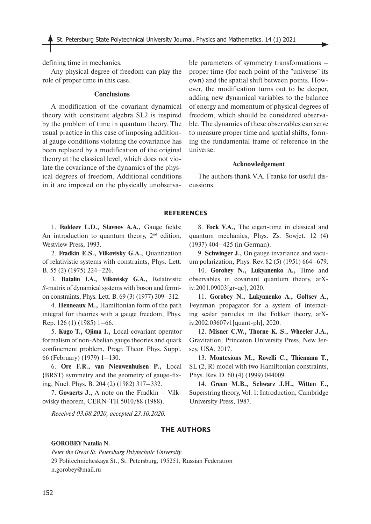defining time in mechanics.

Any physical degree of freedom can play the role of proper time in this case.

#### **Conclusions**

A modification of the covariant dynamical theory with constraint algebra SL2 is inspired by the problem of time in quantum theory. The usual practice in this case of imposing additional gauge conditions violating the covariance has been replaced by a modification of the original theory at the classical level, which does not violate the covariance of the dynamics of the physical degrees of freedom. Additional conditions in it are imposed on the physically unobservable parameters of symmetry transformations – proper time (for each point of the "universe" its own) and the spatial shift between points. However, the modification turns out to be deeper, adding new dynamical variables to the balance of energy and momentum of physical degrees of freedom, which should be considered observable. The dynamics of these observables can serve to measure proper time and spatial shifts, forming the fundamental frame of reference in the universe.

#### **Acknowledgement**

The authors thank V.A. Franke for useful discussions.

#### **REFERENCES**

1. **Faddeev L.D., Slavnov A.A.,** Gauge fields: An introduction to quantum theory,  $2<sup>nd</sup>$  edition, Westview Press, 1993.

2. **Fradkin E.S., Vilkovisky G.A.,** Quantization of relativistic systems with constraints, Phys. Lett. B. 55 (2) (1975) 224–226.

3. **Batalin I.A., Vilkovisky G.A.,** Relativistic *S*-matrix of dynamical systems with boson and fermion constraints, Phys. Lett. B. 69 (3) (1977) 309–312.

4. **Henneaux M.,** Hamiltonian form of the path integral for theories with a gauge freedom, Phys. Rep. 126 (1) (1985) 1–66.

5. **Kugo T., Ojima I.,** Local covariant operator formalism of non-Abelian gauge theories and quark confinement problem, Progr. Theor. Phys. Suppl. 66 (February) (1979) 1–130.

6. **Ore F.R., van Nieuwenhuisen P.,** Local {BRST} symmetry and the geometry of gauge-fixing, Nucl. Phys. B. 204 (2) (1982) 317–332.

7. **Govaerts J.,** A note on the Fradkin – Vilkovisky theorem, CERN-TH 5010/88 (1988).

8. **Fock V.A.,** The eigen-time in classical and quantum mechanics, Phys. Zs. Sowjet. 12 (4) (1937) 404–425 (in German).

9. **Schwinger J.,** On gauge invariance and vacuum polarization, Phys. Rev. 82 (5) (1951) 664–679.

10. **Gorobey N., Lukyanenko A.,** Time and observables in covariant quantum theory, arXiv:2001.09003[gr-qc], 2020.

11. **Gorobey N., Lukyanenko A., Goltsev A.,** Feynman propagator for a system of interacting scalar particles in the Fokker theory, arXiv.2002.03607v1[quant-ph], 2020.

12. **Misner C.W., Thorne K. S., Wheeler J.A.,**  Gravitation, Princeton University Press, New Jersey, USA, 2017.

13. **Montesions M., Rovelli C., Thiemann T.,**  SL (2, R) model with two Hamiltonian constraints, Phys. Rev. D. 60 (4) (1999) 044009.

14. **Green M.B., Schwarz J.H., Witten E.,** Superstring theory, Vol. 1: Introduction, Cambridge University Press, 1987.

*Received 03.08.2020, accepted 23.10.2020.*

# **THE AUTHORS**

**GOROBEY Natalia N.**

*Peter the Great St. Petersburg Polytechnic University* 29 Politechnicheskaya St., St. Petersburg, 195251, Russian Federation n.gorobey@mail.ru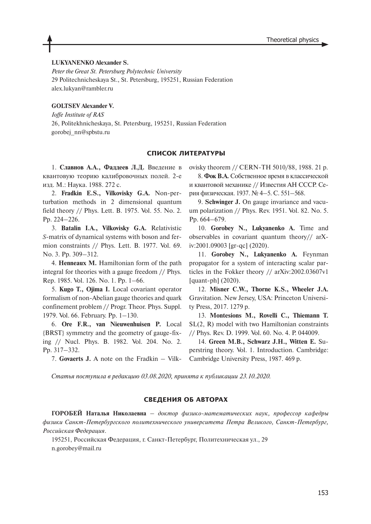#### **LUKYANENKO Alexander S.**

*Peter the Great St. Petersburg Polytechnic University* 29 Politechnicheskaya St., St. Petersburg, 195251, Russian Federation alex.lukyan@rambler.ru

# **GOLTSEV Alexander V.**

*Ioffe Institute of RAS* 26, Politekhnicheskaya, St. Petersburg, 195251, Russian Federation gorobej\_nn@spbstu.ru

# **СПИСОК ЛИТЕРАТУРЫ**

1. **Славнов А.А., Фаддеев Л.Д.** Введение в квантовую теорию калибровочных полей. 2-е изд. М.: Наука. 1988. 272 с.

2. **Fradkin E.S., Vilkovisky G.A.** Non-perturbation methods in 2 dimensional quantum field theory // Phys. Lett. B. 1975. Vol. 55. No. 2. Pp. 224–226.

3. **Batalin I.A., Vilkovisky G.A.** Relativistic *S*-matrix of dynamical systems with boson and fermion constraints // Phys. Lett. B. 1977. Vol. 69. No. 3. Pp. 309–312.

4. **Henneaux M.** Hamiltonian form of the path integral for theories with a gauge freedom // Phys. Rep. 1985. Vol. 126. No. 1. Pp. 1–66.

5. **Kugo T., Ojima I.** Local covariant operator formalism of non-Abelian gauge theories and quark confinement problem // Progr. Theor. Phys. Suppl. 1979. Vol. 66. February. Pp. 1–130.

6. **Ore F.R., van Nieuwenhuisen P.** Local {BRST} symmetry and the geometry of gauge-fixing // Nucl. Phys. B. 1982. Vol. 204. No. 2. Pp. 317–332.

7. **Govaerts J.** A note on the Fradkin – Vilk-

ovisky theorem // CERN-TH 5010/88, 1988. 21 p.

8. **Фок В.А.** Собственное время в классической и квантовой механике // Известия АН СССР. Серия физическая. 1937. № 4–5. С. 551–568.

9. **Schwinger J.** On gauge invariance and vacuum polarization // Phys. Rev. 1951. Vol. 82. No. 5. Pp. 664–679.

10. **Gorobey N., Lukyanenko A.** Time and observables in covariant quantum theory// arXiv:2001.09003 [gr-qc] (2020).

11. **Gorobey N., Lukyanenko A.** Feynman propagator for a system of interacting scalar particles in the Fokker theory // arXiv:2002.03607v1 [quant-ph] (2020).

12. **Misner C.W., Thorne K.S., Wheeler J.A.**  Gravitation. New Jersey, USA: Princeton University Press, 2017. 1279 p.

13. **Montesions M., Rovelli C., Thiemann T.**  SL(2, R) model with two Hamiltonian constraints // Phys. Rev. D. 1999. Vol. 60. No. 4. P. 044009.

14. **Green M.B., Schwarz J.H., Witten E.** Superstring theory. Vol. 1. Introduction. Cambridge: Cambridge University Press, 1987. 469 p.

*Статья поступила в редакцию 03.08.2020, принята к публикации 23.10.2020.*

### **СВЕДЕНИЯ ОБ АВТОРАХ**

**ГОРОБЕЙ Наталья Николаевна** – *доктор физико-математических наук, профессор кафедры физики Санкт-Петербургского политехнического университета Петра Великого, Санкт-Петербург, Российская Федерация*.

195251, Российская Федерация, г. Санкт-Петербург, Политехническая ул., 29 n.gorobey@mail.ru